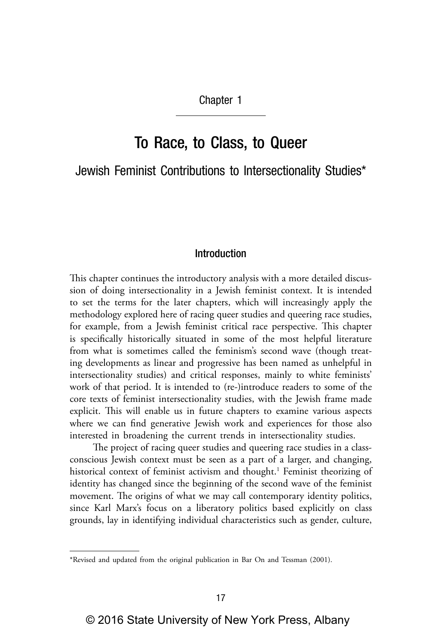Chapter 1

# To Race, to Class, to Queer

Jewish Feminist Contributions to Intersectionality Studies\*

## Introduction

This chapter continues the introductory analysis with a more detailed discussion of doing intersectionality in a Jewish feminist context. It is intended to set the terms for the later chapters, which will increasingly apply the methodology explored here of racing queer studies and queering race studies, for example, from a Jewish feminist critical race perspective. This chapter is specifically historically situated in some of the most helpful literature from what is sometimes called the feminism's second wave (though treating developments as linear and progressive has been named as unhelpful in intersectionality studies) and critical responses, mainly to white feminists' work of that period. It is intended to (re-)introduce readers to some of the core texts of feminist intersectionality studies, with the Jewish frame made explicit. This will enable us in future chapters to examine various aspects where we can find generative Jewish work and experiences for those also interested in broadening the current trends in intersectionality studies.

The project of racing queer studies and queering race studies in a classconscious Jewish context must be seen as a part of a larger, and changing, historical context of feminist activism and thought.<sup>1</sup> Feminist theorizing of identity has changed since the beginning of the second wave of the feminist movement. The origins of what we may call contemporary identity politics, since Karl Marx's focus on a liberatory politics based explicitly on class grounds, lay in identifying individual characteristics such as gender, culture,

<sup>\*</sup>Revised and updated from the original publication in Bar On and Tessman (2001).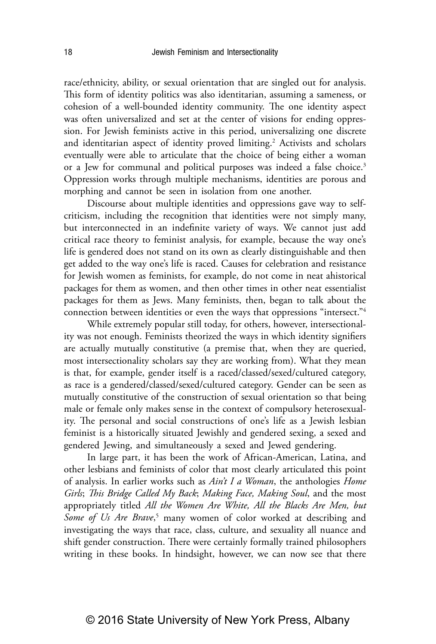race/ethnicity, ability, or sexual orientation that are singled out for analysis. This form of identity politics was also identitarian, assuming a sameness, or cohesion of a well-bounded identity community. The one identity aspect was often universalized and set at the center of visions for ending oppression. For Jewish feminists active in this period, universalizing one discrete and identitarian aspect of identity proved limiting.<sup>2</sup> Activists and scholars eventually were able to articulate that the choice of being either a woman or a Jew for communal and political purposes was indeed a false choice.<sup>3</sup> Oppression works through multiple mechanisms, identities are porous and morphing and cannot be seen in isolation from one another.

Discourse about multiple identities and oppressions gave way to selfcriticism, including the recognition that identities were not simply many, but interconnected in an indefinite variety of ways. We cannot just add critical race theory to feminist analysis, for example, because the way one's life is gendered does not stand on its own as clearly distinguishable and then get added to the way one's life is raced. Causes for celebration and resistance for Jewish women as feminists, for example, do not come in neat ahistorical packages for them as women, and then other times in other neat essentialist packages for them as Jews. Many feminists, then, began to talk about the connection between identities or even the ways that oppressions "intersect."4

While extremely popular still today, for others, however, intersectionality was not enough. Feminists theorized the ways in which identity signifiers are actually mutually constitutive (a premise that, when they are queried, most intersectionality scholars say they are working from). What they mean is that, for example, gender itself is a raced/classed/sexed/cultured category, as race is a gendered/classed/sexed/cultured category. Gender can be seen as mutually constitutive of the construction of sexual orientation so that being male or female only makes sense in the context of compulsory heterosexuality. The personal and social constructions of one's life as a Jewish lesbian feminist is a historically situated Jewishly and gendered sexing, a sexed and gendered Jewing, and simultaneously a sexed and Jewed gendering.

In large part, it has been the work of African-American, Latina, and other lesbians and feminists of color that most clearly articulated this point of analysis. In earlier works such as *Ain't I a Woman*, the anthologies *Home Girls*; *This Bridge Called My Back*; *Making Face, Making Soul*, and the most appropriately titled *All the Women Are White, All the Blacks Are Men, but*  Some of Us Are Brave,<sup>5</sup> many women of color worked at describing and investigating the ways that race, class, culture, and sexuality all nuance and shift gender construction. There were certainly formally trained philosophers writing in these books. In hindsight, however, we can now see that there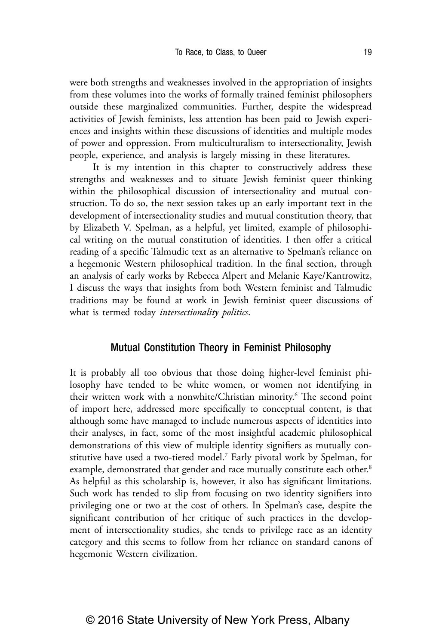were both strengths and weaknesses involved in the appropriation of insights from these volumes into the works of formally trained feminist philosophers outside these marginalized communities. Further, despite the widespread activities of Jewish feminists, less attention has been paid to Jewish experiences and insights within these discussions of identities and multiple modes of power and oppression. From multiculturalism to intersectionality, Jewish people, experience, and analysis is largely missing in these literatures.

It is my intention in this chapter to constructively address these strengths and weaknesses and to situate Jewish feminist queer thinking within the philosophical discussion of intersectionality and mutual construction. To do so, the next session takes up an early important text in the development of intersectionality studies and mutual constitution theory, that by Elizabeth V. Spelman, as a helpful, yet limited, example of philosophical writing on the mutual constitution of identities. I then offer a critical reading of a specific Talmudic text as an alternative to Spelman's reliance on a hegemonic Western philosophical tradition. In the final section, through an analysis of early works by Rebecca Alpert and Melanie Kaye/Kantrowitz, I discuss the ways that insights from both Western feminist and Talmudic traditions may be found at work in Jewish feminist queer discussions of what is termed today *intersectionality politics*.

## Mutual Constitution Theory in Feminist Philosophy

It is probably all too obvious that those doing higher-level feminist philosophy have tended to be white women, or women not identifying in their written work with a nonwhite/Christian minority.6 The second point of import here, addressed more specifically to conceptual content, is that although some have managed to include numerous aspects of identities into their analyses, in fact, some of the most insightful academic philosophical demonstrations of this view of multiple identity signifiers as mutually constitutive have used a two-tiered model.7 Early pivotal work by Spelman, for example, demonstrated that gender and race mutually constitute each other.<sup>8</sup> As helpful as this scholarship is, however, it also has significant limitations. Such work has tended to slip from focusing on two identity signifiers into privileging one or two at the cost of others. In Spelman's case, despite the significant contribution of her critique of such practices in the development of intersectionality studies, she tends to privilege race as an identity category and this seems to follow from her reliance on standard canons of hegemonic Western civilization.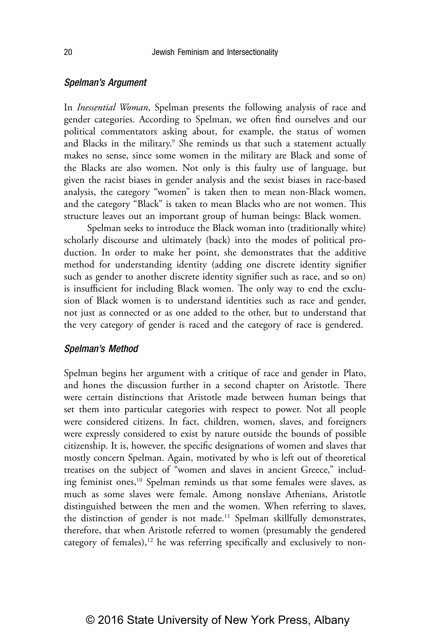#### Spelman's Argument

In *Inessential Woman*, Spelman presents the following analysis of race and gender categories. According to Spelman, we often find ourselves and our political commentators asking about, for example, the status of women and Blacks in the military.<sup>9</sup> She reminds us that such a statement actually makes no sense, since some women in the military are Black and some of the Blacks are also women. Not only is this faulty use of language, but given the racist biases in gender analysis and the sexist biases in race-based analysis, the category "women" is taken then to mean non-Black women, and the category "Black" is taken to mean Blacks who are not women. This structure leaves out an important group of human beings: Black women.

Spelman seeks to introduce the Black woman into (traditionally white) scholarly discourse and ultimately (back) into the modes of political production. In order to make her point, she demonstrates that the additive method for understanding identity (adding one discrete identity signifier such as gender to another discrete identity signifier such as race, and so on) is insufficient for including Black women. The only way to end the exclusion of Black women is to understand identities such as race and gender, not just as connected or as one added to the other, but to understand that the very category of gender is raced and the category of race is gendered.

#### Spelman's Method

Spelman begins her argument with a critique of race and gender in Plato, and hones the discussion further in a second chapter on Aristotle. There were certain distinctions that Aristotle made between human beings that set them into particular categories with respect to power. Not all people were considered citizens. In fact, children, women, slaves, and foreigners were expressly considered to exist by nature outside the bounds of possible citizenship. It is, however, the specific designations of women and slaves that mostly concern Spelman. Again, motivated by who is left out of theoretical treatises on the subject of "women and slaves in ancient Greece," including feminist ones,<sup>10</sup> Spelman reminds us that some females were slaves, as much as some slaves were female. Among nonslave Athenians, Aristotle distinguished between the men and the women. When referring to slaves, the distinction of gender is not made.<sup>11</sup> Spelman skillfully demonstrates, therefore, that when Aristotle referred to women (presumably the gendered category of females),<sup>12</sup> he was referring specifically and exclusively to non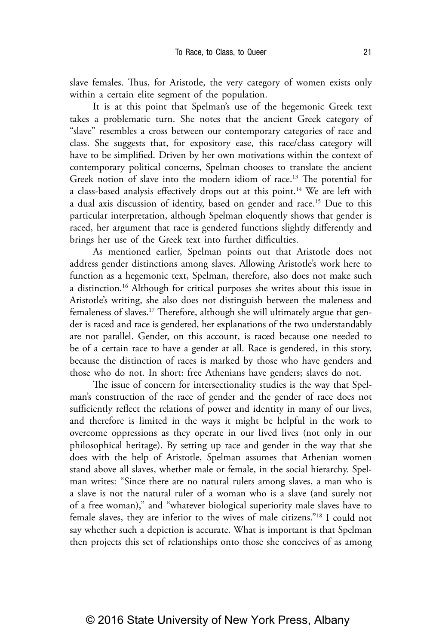slave females. Thus, for Aristotle, the very category of women exists only within a certain elite segment of the population.

It is at this point that Spelman's use of the hegemonic Greek text takes a problematic turn. She notes that the ancient Greek category of "slave" resembles a cross between our contemporary categories of race and class. She suggests that, for expository ease, this race/class category will have to be simplified. Driven by her own motivations within the context of contemporary political concerns, Spelman chooses to translate the ancient Greek notion of slave into the modern idiom of race.<sup>13</sup> The potential for a class-based analysis effectively drops out at this point.<sup>14</sup> We are left with a dual axis discussion of identity, based on gender and race.<sup>15</sup> Due to this particular interpretation, although Spelman eloquently shows that gender is raced, her argument that race is gendered functions slightly differently and brings her use of the Greek text into further difficulties.

As mentioned earlier, Spelman points out that Aristotle does not address gender distinctions among slaves. Allowing Aristotle's work here to function as a hegemonic text, Spelman, therefore, also does not make such a distinction.<sup>16</sup> Although for critical purposes she writes about this issue in Aristotle's writing, she also does not distinguish between the maleness and femaleness of slaves.<sup>17</sup> Therefore, although she will ultimately argue that gender is raced and race is gendered, her explanations of the two understandably are not parallel. Gender, on this account, is raced because one needed to be of a certain race to have a gender at all. Race is gendered, in this story, because the distinction of races is marked by those who have genders and those who do not. In short: free Athenians have genders; slaves do not.

The issue of concern for intersectionality studies is the way that Spelman's construction of the race of gender and the gender of race does not sufficiently reflect the relations of power and identity in many of our lives, and therefore is limited in the ways it might be helpful in the work to overcome oppressions as they operate in our lived lives (not only in our philosophical heritage). By setting up race and gender in the way that she does with the help of Aristotle, Spelman assumes that Athenian women stand above all slaves, whether male or female, in the social hierarchy. Spelman writes: "Since there are no natural rulers among slaves, a man who is a slave is not the natural ruler of a woman who is a slave (and surely not of a free woman)," and "whatever biological superiority male slaves have to female slaves, they are inferior to the wives of male citizens."18 I could not say whether such a depiction is accurate. What is important is that Spelman then projects this set of relationships onto those she conceives of as among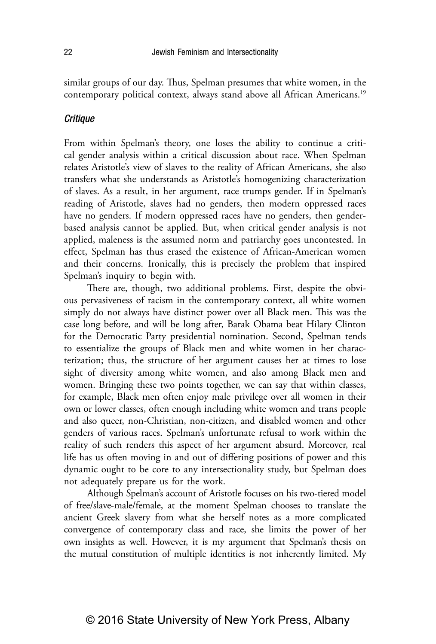similar groups of our day. Thus, Spelman presumes that white women, in the contemporary political context, always stand above all African Americans.<sup>19</sup>

#### **Critique**

From within Spelman's theory, one loses the ability to continue a critical gender analysis within a critical discussion about race. When Spelman relates Aristotle's view of slaves to the reality of African Americans, she also transfers what she understands as Aristotle's homogenizing characterization of slaves. As a result, in her argument, race trumps gender. If in Spelman's reading of Aristotle, slaves had no genders, then modern oppressed races have no genders. If modern oppressed races have no genders, then genderbased analysis cannot be applied. But, when critical gender analysis is not applied, maleness is the assumed norm and patriarchy goes uncontested. In effect, Spelman has thus erased the existence of African-American women and their concerns. Ironically, this is precisely the problem that inspired Spelman's inquiry to begin with.

There are, though, two additional problems. First, despite the obvious pervasiveness of racism in the contemporary context, all white women simply do not always have distinct power over all Black men. This was the case long before, and will be long after, Barak Obama beat Hilary Clinton for the Democratic Party presidential nomination. Second, Spelman tends to essentialize the groups of Black men and white women in her characterization; thus, the structure of her argument causes her at times to lose sight of diversity among white women, and also among Black men and women. Bringing these two points together, we can say that within classes, for example, Black men often enjoy male privilege over all women in their own or lower classes, often enough including white women and trans people and also queer, non-Christian, non-citizen, and disabled women and other genders of various races. Spelman's unfortunate refusal to work within the reality of such renders this aspect of her argument absurd. Moreover, real life has us often moving in and out of differing positions of power and this dynamic ought to be core to any intersectionality study, but Spelman does not adequately prepare us for the work.

Although Spelman's account of Aristotle focuses on his two-tiered model of free/slave-male/female, at the moment Spelman chooses to translate the ancient Greek slavery from what she herself notes as a more complicated convergence of contemporary class and race, she limits the power of her own insights as well. However, it is my argument that Spelman's thesis on the mutual constitution of multiple identities is not inherently limited. My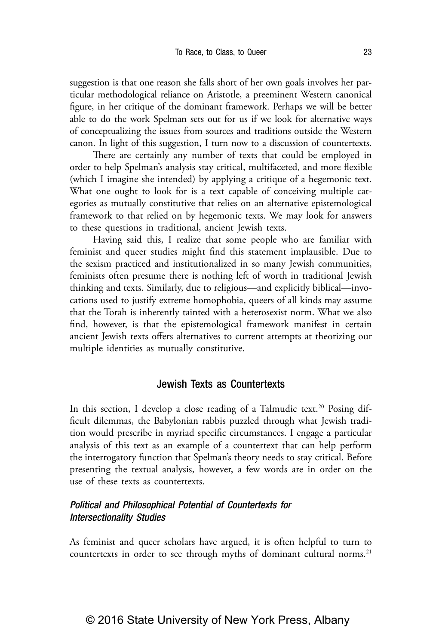suggestion is that one reason she falls short of her own goals involves her particular methodological reliance on Aristotle, a preeminent Western canonical figure, in her critique of the dominant framework. Perhaps we will be better able to do the work Spelman sets out for us if we look for alternative ways of conceptualizing the issues from sources and traditions outside the Western canon. In light of this suggestion, I turn now to a discussion of countertexts.

There are certainly any number of texts that could be employed in order to help Spelman's analysis stay critical, multifaceted, and more flexible (which I imagine she intended) by applying a critique of a hegemonic text. What one ought to look for is a text capable of conceiving multiple categories as mutually constitutive that relies on an alternative epistemological framework to that relied on by hegemonic texts. We may look for answers to these questions in traditional, ancient Jewish texts.

Having said this, I realize that some people who are familiar with feminist and queer studies might find this statement implausible. Due to the sexism practiced and institutionalized in so many Jewish communities, feminists often presume there is nothing left of worth in traditional Jewish thinking and texts. Similarly, due to religious—and explicitly biblical—invocations used to justify extreme homophobia, queers of all kinds may assume that the Torah is inherently tainted with a heterosexist norm. What we also find, however, is that the epistemological framework manifest in certain ancient Jewish texts offers alternatives to current attempts at theorizing our multiple identities as mutually constitutive.

## Jewish Texts as Countertexts

In this section, I develop a close reading of a Talmudic text.<sup>20</sup> Posing difficult dilemmas, the Babylonian rabbis puzzled through what Jewish tradition would prescribe in myriad specific circumstances. I engage a particular analysis of this text as an example of a countertext that can help perform the interrogatory function that Spelman's theory needs to stay critical. Before presenting the textual analysis, however, a few words are in order on the use of these texts as countertexts.

# Political and Philosophical Potential of Countertexts for Intersectionality Studies

As feminist and queer scholars have argued, it is often helpful to turn to countertexts in order to see through myths of dominant cultural norms.<sup>21</sup>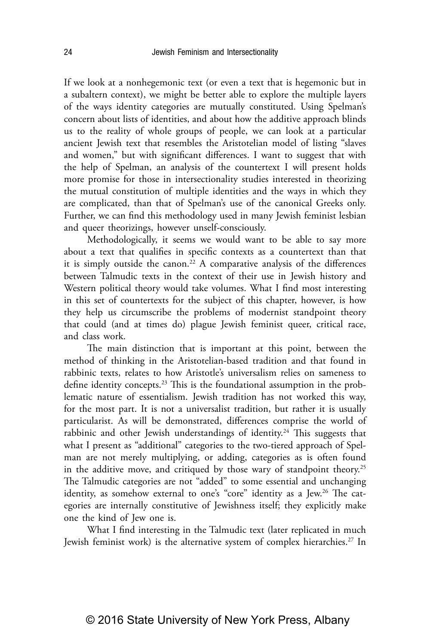If we look at a nonhegemonic text (or even a text that is hegemonic but in a subaltern context), we might be better able to explore the multiple layers of the ways identity categories are mutually constituted. Using Spelman's concern about lists of identities, and about how the additive approach blinds us to the reality of whole groups of people, we can look at a particular ancient Jewish text that resembles the Aristotelian model of listing "slaves and women," but with significant differences. I want to suggest that with the help of Spelman, an analysis of the countertext I will present holds more promise for those in intersectionality studies interested in theorizing the mutual constitution of multiple identities and the ways in which they are complicated, than that of Spelman's use of the canonical Greeks only. Further, we can find this methodology used in many Jewish feminist lesbian and queer theorizings, however unself-consciously.

Methodologically, it seems we would want to be able to say more about a text that qualifies in specific contexts as a countertext than that it is simply outside the canon.<sup>22</sup> A comparative analysis of the differences between Talmudic texts in the context of their use in Jewish history and Western political theory would take volumes. What I find most interesting in this set of countertexts for the subject of this chapter, however, is how they help us circumscribe the problems of modernist standpoint theory that could (and at times do) plague Jewish feminist queer, critical race, and class work.

The main distinction that is important at this point, between the method of thinking in the Aristotelian-based tradition and that found in rabbinic texts, relates to how Aristotle's universalism relies on sameness to define identity concepts.<sup>23</sup> This is the foundational assumption in the problematic nature of essentialism. Jewish tradition has not worked this way, for the most part. It is not a universalist tradition, but rather it is usually particularist. As will be demonstrated, differences comprise the world of rabbinic and other Jewish understandings of identity.<sup>24</sup> This suggests that what I present as "additional" categories to the two-tiered approach of Spelman are not merely multiplying, or adding, categories as is often found in the additive move, and critiqued by those wary of standpoint theory.25 The Talmudic categories are not "added" to some essential and unchanging identity, as somehow external to one's "core" identity as a Jew.<sup>26</sup> The categories are internally constitutive of Jewishness itself; they explicitly make one the kind of Jew one is.

What I find interesting in the Talmudic text (later replicated in much Jewish feminist work) is the alternative system of complex hierarchies.<sup>27</sup> In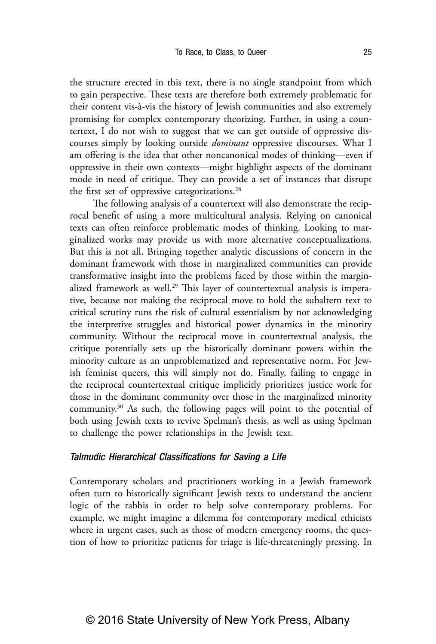the structure erected in this text, there is no single standpoint from which to gain perspective. These texts are therefore both extremely problematic for their content vis-à-vis the history of Jewish communities and also extremely promising for complex contemporary theorizing. Further, in using a countertext, I do not wish to suggest that we can get outside of oppressive discourses simply by looking outside *dominant* oppressive discourses. What I am offering is the idea that other noncanonical modes of thinking—even if oppressive in their own contexts—might highlight aspects of the dominant mode in need of critique. They can provide a set of instances that disrupt the first set of oppressive categorizations.<sup>28</sup>

The following analysis of a countertext will also demonstrate the reciprocal benefit of using a more multicultural analysis. Relying on canonical texts can often reinforce problematic modes of thinking. Looking to marginalized works may provide us with more alternative conceptualizations. But this is not all. Bringing together analytic discussions of concern in the dominant framework with those in marginalized communities can provide transformative insight into the problems faced by those within the marginalized framework as well.<sup>29</sup> This layer of countertextual analysis is imperative, because not making the reciprocal move to hold the subaltern text to critical scrutiny runs the risk of cultural essentialism by not acknowledging the interpretive struggles and historical power dynamics in the minority community. Without the reciprocal move in countertextual analysis, the critique potentially sets up the historically dominant powers within the minority culture as an unproblematized and representative norm. For Jewish feminist queers, this will simply not do. Finally, failing to engage in the reciprocal countertextual critique implicitly prioritizes justice work for those in the dominant community over those in the marginalized minority community.30 As such, the following pages will point to the potential of both using Jewish texts to revive Spelman's thesis, as well as using Spelman to challenge the power relationships in the Jewish text.

## Talmudic Hierarchical Classifications for Saving a Life

Contemporary scholars and practitioners working in a Jewish framework often turn to historically significant Jewish texts to understand the ancient logic of the rabbis in order to help solve contemporary problems. For example, we might imagine a dilemma for contemporary medical ethicists where in urgent cases, such as those of modern emergency rooms, the question of how to prioritize patients for triage is life-threateningly pressing. In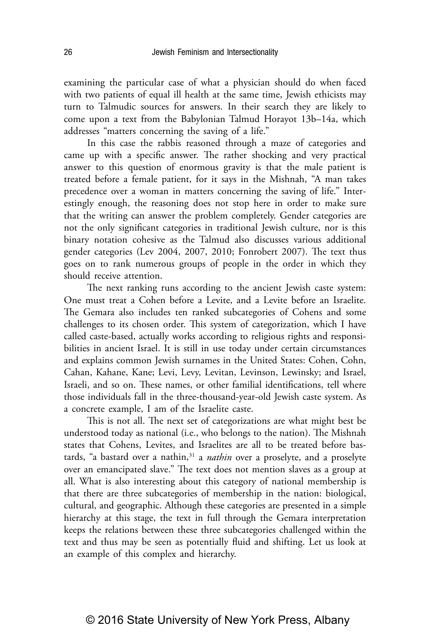examining the particular case of what a physician should do when faced with two patients of equal ill health at the same time, Jewish ethicists may turn to Talmudic sources for answers. In their search they are likely to come upon a text from the Babylonian Talmud Horayot 13b–14a, which addresses "matters concerning the saving of a life."

In this case the rabbis reasoned through a maze of categories and came up with a specific answer. The rather shocking and very practical answer to this question of enormous gravity is that the male patient is treated before a female patient, for it says in the Mishnah, "A man takes precedence over a woman in matters concerning the saving of life." Interestingly enough, the reasoning does not stop here in order to make sure that the writing can answer the problem completely. Gender categories are not the only significant categories in traditional Jewish culture, nor is this binary notation cohesive as the Talmud also discusses various additional gender categories (Lev 2004, 2007, 2010; Fonrobert 2007). The text thus goes on to rank numerous groups of people in the order in which they should receive attention.

The next ranking runs according to the ancient Jewish caste system: One must treat a Cohen before a Levite, and a Levite before an Israelite. The Gemara also includes ten ranked subcategories of Cohens and some challenges to its chosen order. This system of categorization, which I have called caste-based, actually works according to religious rights and responsibilities in ancient Israel. It is still in use today under certain circumstances and explains common Jewish surnames in the United States: Cohen, Cohn, Cahan, Kahane, Kane; Levi, Levy, Levitan, Levinson, Lewinsky; and Israel, Israeli, and so on. These names, or other familial identifications, tell where those individuals fall in the three-thousand-year-old Jewish caste system. As a concrete example, I am of the Israelite caste.

This is not all. The next set of categorizations are what might best be understood today as national (i.e., who belongs to the nation). The Mishnah states that Cohens, Levites, and Israelites are all to be treated before bastards, "a bastard over a nathin,<sup>31</sup> a *nathin* over a proselyte, and a proselyte over an emancipated slave." The text does not mention slaves as a group at all. What is also interesting about this category of national membership is that there are three subcategories of membership in the nation: biological, cultural, and geographic. Although these categories are presented in a simple hierarchy at this stage, the text in full through the Gemara interpretation keeps the relations between these three subcategories challenged within the text and thus may be seen as potentially fluid and shifting. Let us look at an example of this complex and hierarchy.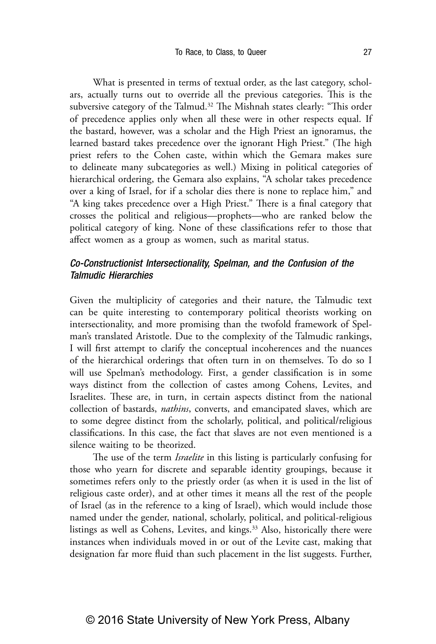What is presented in terms of textual order, as the last category, scholars, actually turns out to override all the previous categories. This is the subversive category of the Talmud.<sup>32</sup> The Mishnah states clearly: "This order of precedence applies only when all these were in other respects equal. If the bastard, however, was a scholar and the High Priest an ignoramus, the learned bastard takes precedence over the ignorant High Priest." (The high priest refers to the Cohen caste, within which the Gemara makes sure to delineate many subcategories as well.) Mixing in political categories of hierarchical ordering, the Gemara also explains, "A scholar takes precedence over a king of Israel, for if a scholar dies there is none to replace him," and "A king takes precedence over a High Priest." There is a final category that crosses the political and religious—prophets—who are ranked below the political category of king. None of these classifications refer to those that affect women as a group as women, such as marital status.

# Co-Constructionist Intersectionality, Spelman, and the Confusion of the Talmudic Hierarchies

Given the multiplicity of categories and their nature, the Talmudic text can be quite interesting to contemporary political theorists working on intersectionality, and more promising than the twofold framework of Spelman's translated Aristotle. Due to the complexity of the Talmudic rankings, I will first attempt to clarify the conceptual incoherences and the nuances of the hierarchical orderings that often turn in on themselves. To do so I will use Spelman's methodology. First, a gender classification is in some ways distinct from the collection of castes among Cohens, Levites, and Israelites. These are, in turn, in certain aspects distinct from the national collection of bastards, *nathins*, converts, and emancipated slaves, which are to some degree distinct from the scholarly, political, and political/religious classifications. In this case, the fact that slaves are not even mentioned is a silence waiting to be theorized.

The use of the term *Israelite* in this listing is particularly confusing for those who yearn for discrete and separable identity groupings, because it sometimes refers only to the priestly order (as when it is used in the list of religious caste order), and at other times it means all the rest of the people of Israel (as in the reference to a king of Israel), which would include those named under the gender, national, scholarly, political, and political-religious listings as well as Cohens, Levites, and kings. $33$  Also, historically there were instances when individuals moved in or out of the Levite cast, making that designation far more fluid than such placement in the list suggests. Further,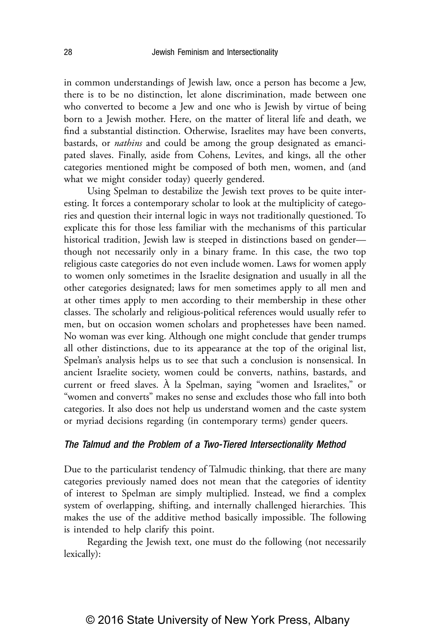in common understandings of Jewish law, once a person has become a Jew, there is to be no distinction, let alone discrimination, made between one who converted to become a Jew and one who is Jewish by virtue of being born to a Jewish mother. Here, on the matter of literal life and death, we find a substantial distinction. Otherwise, Israelites may have been converts, bastards, or *nathins* and could be among the group designated as emancipated slaves. Finally, aside from Cohens, Levites, and kings, all the other categories mentioned might be composed of both men, women, and (and what we might consider today) queerly gendered.

Using Spelman to destabilize the Jewish text proves to be quite interesting. It forces a contemporary scholar to look at the multiplicity of categories and question their internal logic in ways not traditionally questioned. To explicate this for those less familiar with the mechanisms of this particular historical tradition, Jewish law is steeped in distinctions based on gender though not necessarily only in a binary frame. In this case, the two top religious caste categories do not even include women. Laws for women apply to women only sometimes in the Israelite designation and usually in all the other categories designated; laws for men sometimes apply to all men and at other times apply to men according to their membership in these other classes. The scholarly and religious-political references would usually refer to men, but on occasion women scholars and prophetesses have been named. No woman was ever king. Although one might conclude that gender trumps all other distinctions, due to its appearance at the top of the original list, Spelman's analysis helps us to see that such a conclusion is nonsensical. In ancient Israelite society, women could be converts, nathins, bastards, and current or freed slaves. À la Spelman, saying "women and Israelites," or "women and converts" makes no sense and excludes those who fall into both categories. It also does not help us understand women and the caste system or myriad decisions regarding (in contemporary terms) gender queers.

#### The Talmud and the Problem of a Two-Tiered Intersectionality Method

Due to the particularist tendency of Talmudic thinking, that there are many categories previously named does not mean that the categories of identity of interest to Spelman are simply multiplied. Instead, we find a complex system of overlapping, shifting, and internally challenged hierarchies. This makes the use of the additive method basically impossible. The following is intended to help clarify this point.

Regarding the Jewish text, one must do the following (not necessarily lexically):

# © 2016 State University of New York Press, Albany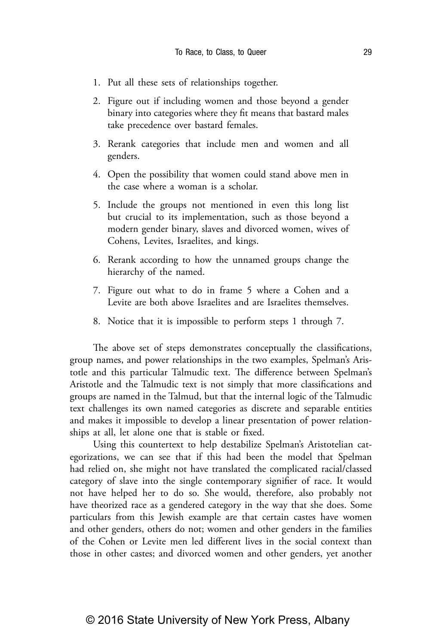- 1. Put all these sets of relationships together.
- 2. Figure out if including women and those beyond a gender binary into categories where they fit means that bastard males take precedence over bastard females.
- 3. Rerank categories that include men and women and all genders.
- 4. Open the possibility that women could stand above men in the case where a woman is a scholar.
- 5. Include the groups not mentioned in even this long list but crucial to its implementation, such as those beyond a modern gender binary, slaves and divorced women, wives of Cohens, Levites, Israelites, and kings.
- 6. Rerank according to how the unnamed groups change the hierarchy of the named.
- 7. Figure out what to do in frame 5 where a Cohen and a Levite are both above Israelites and are Israelites themselves.
- 8. Notice that it is impossible to perform steps 1 through 7.

The above set of steps demonstrates conceptually the classifications, group names, and power relationships in the two examples, Spelman's Aristotle and this particular Talmudic text. The difference between Spelman's Aristotle and the Talmudic text is not simply that more classifications and groups are named in the Talmud, but that the internal logic of the Talmudic text challenges its own named categories as discrete and separable entities and makes it impossible to develop a linear presentation of power relationships at all, let alone one that is stable or fixed.

Using this countertext to help destabilize Spelman's Aristotelian categorizations, we can see that if this had been the model that Spelman had relied on, she might not have translated the complicated racial/classed category of slave into the single contemporary signifier of race. It would not have helped her to do so. She would, therefore, also probably not have theorized race as a gendered category in the way that she does. Some particulars from this Jewish example are that certain castes have women and other genders, others do not; women and other genders in the families of the Cohen or Levite men led different lives in the social context than those in other castes; and divorced women and other genders, yet another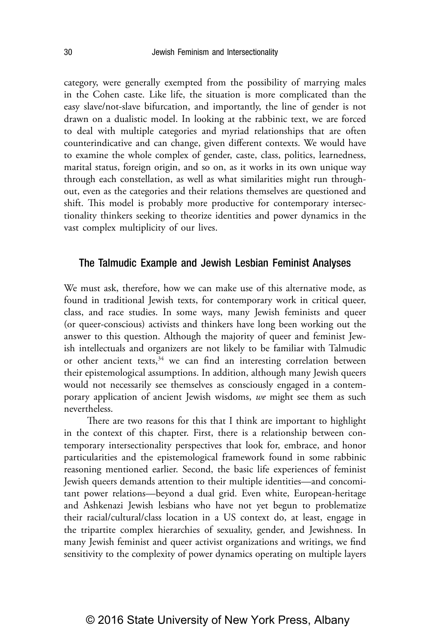category, were generally exempted from the possibility of marrying males in the Cohen caste. Like life, the situation is more complicated than the easy slave/not-slave bifurcation, and importantly, the line of gender is not drawn on a dualistic model. In looking at the rabbinic text, we are forced to deal with multiple categories and myriad relationships that are often counterindicative and can change, given different contexts. We would have to examine the whole complex of gender, caste, class, politics, learnedness, marital status, foreign origin, and so on, as it works in its own unique way through each constellation, as well as what similarities might run throughout, even as the categories and their relations themselves are questioned and shift. This model is probably more productive for contemporary intersectionality thinkers seeking to theorize identities and power dynamics in the vast complex multiplicity of our lives.

#### The Talmudic Example and Jewish Lesbian Feminist Analyses

We must ask, therefore, how we can make use of this alternative mode, as found in traditional Jewish texts, for contemporary work in critical queer, class, and race studies. In some ways, many Jewish feminists and queer (or queer-conscious) activists and thinkers have long been working out the answer to this question. Although the majority of queer and feminist Jewish intellectuals and organizers are not likely to be familiar with Talmudic or other ancient texts,  $34$  we can find an interesting correlation between their epistemological assumptions. In addition, although many Jewish queers would not necessarily see themselves as consciously engaged in a contemporary application of ancient Jewish wisdoms, *we* might see them as such nevertheless.

There are two reasons for this that I think are important to highlight in the context of this chapter. First, there is a relationship between contemporary intersectionality perspectives that look for, embrace, and honor particularities and the epistemological framework found in some rabbinic reasoning mentioned earlier. Second, the basic life experiences of feminist Jewish queers demands attention to their multiple identities—and concomitant power relations—beyond a dual grid. Even white, European-heritage and Ashkenazi Jewish lesbians who have not yet begun to problematize their racial/cultural/class location in a US context do, at least, engage in the tripartite complex hierarchies of sexuality, gender, and Jewishness. In many Jewish feminist and queer activist organizations and writings, we find sensitivity to the complexity of power dynamics operating on multiple layers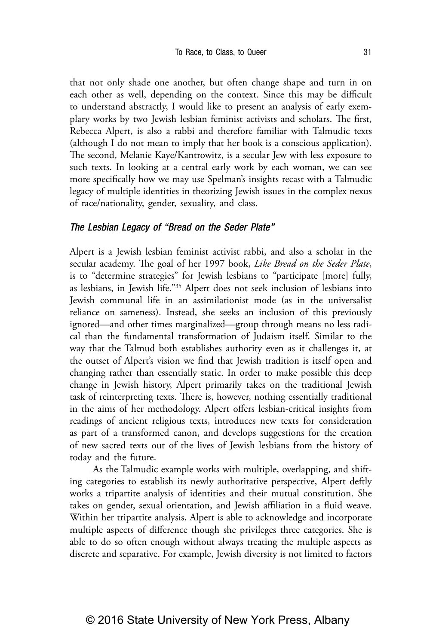that not only shade one another, but often change shape and turn in on each other as well, depending on the context. Since this may be difficult to understand abstractly, I would like to present an analysis of early exemplary works by two Jewish lesbian feminist activists and scholars. The first, Rebecca Alpert, is also a rabbi and therefore familiar with Talmudic texts (although I do not mean to imply that her book is a conscious application). The second, Melanie Kaye/Kantrowitz, is a secular Jew with less exposure to such texts. In looking at a central early work by each woman, we can see more specifically how we may use Spelman's insights recast with a Talmudic legacy of multiple identities in theorizing Jewish issues in the complex nexus of race/nationality, gender, sexuality, and class.

## The Lesbian Legacy of "Bread on the Seder Plate"

Alpert is a Jewish lesbian feminist activist rabbi, and also a scholar in the secular academy. The goal of her 1997 book, *Like Bread on the Seder Plate*, is to "determine strategies" for Jewish lesbians to "participate [more] fully, as lesbians, in Jewish life."35 Alpert does not seek inclusion of lesbians into Jewish communal life in an assimilationist mode (as in the universalist reliance on sameness). Instead, she seeks an inclusion of this previously ignored—and other times marginalized—group through means no less radical than the fundamental transformation of Judaism itself. Similar to the way that the Talmud both establishes authority even as it challenges it, at the outset of Alpert's vision we find that Jewish tradition is itself open and changing rather than essentially static. In order to make possible this deep change in Jewish history, Alpert primarily takes on the traditional Jewish task of reinterpreting texts. There is, however, nothing essentially traditional in the aims of her methodology. Alpert offers lesbian-critical insights from readings of ancient religious texts, introduces new texts for consideration as part of a transformed canon, and develops suggestions for the creation of new sacred texts out of the lives of Jewish lesbians from the history of today and the future.

As the Talmudic example works with multiple, overlapping, and shifting categories to establish its newly authoritative perspective, Alpert deftly works a tripartite analysis of identities and their mutual constitution. She takes on gender, sexual orientation, and Jewish affiliation in a fluid weave. Within her tripartite analysis, Alpert is able to acknowledge and incorporate multiple aspects of difference though she privileges three categories. She is able to do so often enough without always treating the multiple aspects as discrete and separative. For example, Jewish diversity is not limited to factors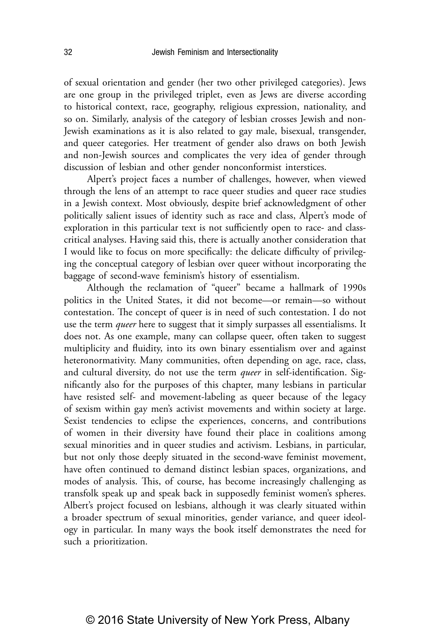of sexual orientation and gender (her two other privileged categories). Jews are one group in the privileged triplet, even as Jews are diverse according to historical context, race, geography, religious expression, nationality, and so on. Similarly, analysis of the category of lesbian crosses Jewish and non-Jewish examinations as it is also related to gay male, bisexual, transgender, and queer categories. Her treatment of gender also draws on both Jewish and non-Jewish sources and complicates the very idea of gender through discussion of lesbian and other gender nonconformist interstices.

Alpert's project faces a number of challenges, however, when viewed through the lens of an attempt to race queer studies and queer race studies in a Jewish context. Most obviously, despite brief acknowledgment of other politically salient issues of identity such as race and class, Alpert's mode of exploration in this particular text is not sufficiently open to race- and classcritical analyses. Having said this, there is actually another consideration that I would like to focus on more specifically: the delicate difficulty of privileging the conceptual category of lesbian over queer without incorporating the baggage of second-wave feminism's history of essentialism.

Although the reclamation of "queer" became a hallmark of 1990s politics in the United States, it did not become—or remain—so without contestation. The concept of queer is in need of such contestation. I do not use the term *queer* here to suggest that it simply surpasses all essentialisms. It does not. As one example, many can collapse queer, often taken to suggest multiplicity and fluidity, into its own binary essentialism over and against heteronormativity. Many communities, often depending on age, race, class, and cultural diversity, do not use the term *queer* in self-identification. Significantly also for the purposes of this chapter, many lesbians in particular have resisted self- and movement-labeling as queer because of the legacy of sexism within gay men's activist movements and within society at large. Sexist tendencies to eclipse the experiences, concerns, and contributions of women in their diversity have found their place in coalitions among sexual minorities and in queer studies and activism. Lesbians, in particular, but not only those deeply situated in the second-wave feminist movement, have often continued to demand distinct lesbian spaces, organizations, and modes of analysis. This, of course, has become increasingly challenging as transfolk speak up and speak back in supposedly feminist women's spheres. Albert's project focused on lesbians, although it was clearly situated within a broader spectrum of sexual minorities, gender variance, and queer ideology in particular. In many ways the book itself demonstrates the need for such a prioritization.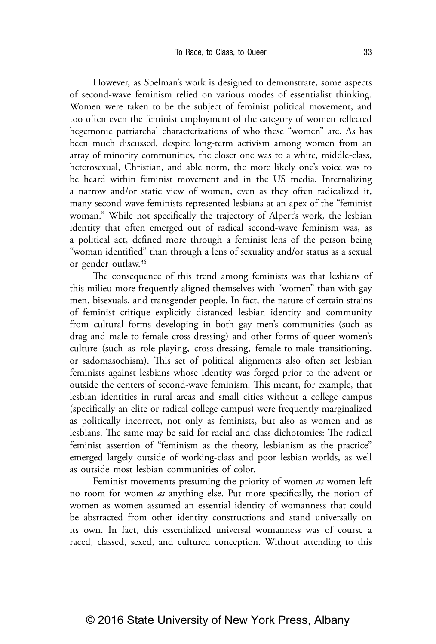However, as Spelman's work is designed to demonstrate, some aspects of second-wave feminism relied on various modes of essentialist thinking. Women were taken to be the subject of feminist political movement, and too often even the feminist employment of the category of women reflected hegemonic patriarchal characterizations of who these "women" are. As has been much discussed, despite long-term activism among women from an array of minority communities, the closer one was to a white, middle-class, heterosexual, Christian, and able norm, the more likely one's voice was to be heard within feminist movement and in the US media. Internalizing a narrow and/or static view of women, even as they often radicalized it, many second-wave feminists represented lesbians at an apex of the "feminist woman." While not specifically the trajectory of Alpert's work, the lesbian identity that often emerged out of radical second-wave feminism was, as a political act, defined more through a feminist lens of the person being "woman identified" than through a lens of sexuality and/or status as a sexual or gender outlaw.36

The consequence of this trend among feminists was that lesbians of this milieu more frequently aligned themselves with "women" than with gay men, bisexuals, and transgender people. In fact, the nature of certain strains of feminist critique explicitly distanced lesbian identity and community from cultural forms developing in both gay men's communities (such as drag and male-to-female cross-dressing) and other forms of queer women's culture (such as role-playing, cross-dressing, female-to-male transitioning, or sadomasochism). This set of political alignments also often set lesbian feminists against lesbians whose identity was forged prior to the advent or outside the centers of second-wave feminism. This meant, for example, that lesbian identities in rural areas and small cities without a college campus (specifically an elite or radical college campus) were frequently marginalized as politically incorrect, not only as feminists, but also as women and as lesbians. The same may be said for racial and class dichotomies: The radical feminist assertion of "feminism as the theory, lesbianism as the practice" emerged largely outside of working-class and poor lesbian worlds, as well as outside most lesbian communities of color.

Feminist movements presuming the priority of women *as* women left no room for women *as* anything else. Put more specifically, the notion of women as women assumed an essential identity of womanness that could be abstracted from other identity constructions and stand universally on its own. In fact, this essentialized universal womanness was of course a raced, classed, sexed, and cultured conception. Without attending to this

© 2016 State University of New York Press, Albany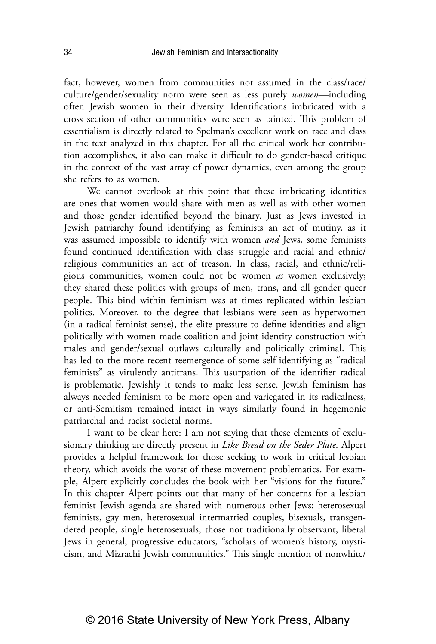fact, however, women from communities not assumed in the class/race/ culture/gender/sexuality norm were seen as less purely *women*—including often Jewish women in their diversity. Identifications imbricated with a cross section of other communities were seen as tainted. This problem of essentialism is directly related to Spelman's excellent work on race and class in the text analyzed in this chapter. For all the critical work her contribution accomplishes, it also can make it difficult to do gender-based critique in the context of the vast array of power dynamics, even among the group she refers to as women.

We cannot overlook at this point that these imbricating identities are ones that women would share with men as well as with other women and those gender identified beyond the binary. Just as Jews invested in Jewish patriarchy found identifying as feminists an act of mutiny, as it was assumed impossible to identify with women *and* Jews, some feminists found continued identification with class struggle and racial and ethnic/ religious communities an act of treason. In class, racial, and ethnic/religious communities, women could not be women *as* women exclusively; they shared these politics with groups of men, trans, and all gender queer people. This bind within feminism was at times replicated within lesbian politics. Moreover, to the degree that lesbians were seen as hyperwomen (in a radical feminist sense), the elite pressure to define identities and align politically with women made coalition and joint identity construction with males and gender/sexual outlaws culturally and politically criminal. This has led to the more recent reemergence of some self-identifying as "radical feminists" as virulently antitrans. This usurpation of the identifier radical is problematic. Jewishly it tends to make less sense. Jewish feminism has always needed feminism to be more open and variegated in its radicalness, or anti-Semitism remained intact in ways similarly found in hegemonic patriarchal and racist societal norms.

I want to be clear here: I am not saying that these elements of exclusionary thinking are directly present in *Like Bread on the Seder Plate*. Alpert provides a helpful framework for those seeking to work in critical lesbian theory, which avoids the worst of these movement problematics. For example, Alpert explicitly concludes the book with her "visions for the future." In this chapter Alpert points out that many of her concerns for a lesbian feminist Jewish agenda are shared with numerous other Jews: heterosexual feminists, gay men, heterosexual intermarried couples, bisexuals, transgendered people, single heterosexuals, those not traditionally observant, liberal Jews in general, progressive educators, "scholars of women's history, mysticism, and Mizrachi Jewish communities." This single mention of nonwhite/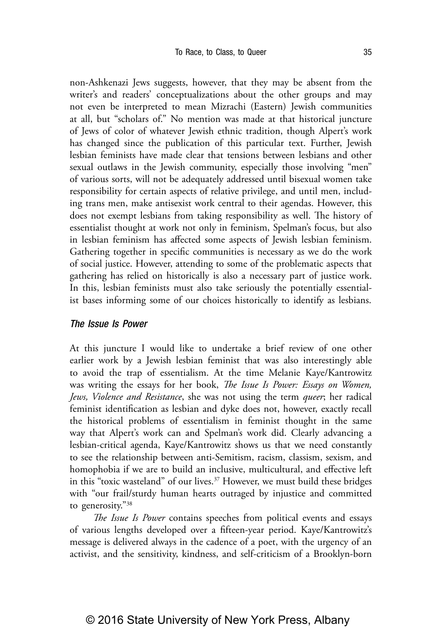non-Ashkenazi Jews suggests, however, that they may be absent from the writer's and readers' conceptualizations about the other groups and may not even be interpreted to mean Mizrachi (Eastern) Jewish communities at all, but "scholars of." No mention was made at that historical juncture of Jews of color of whatever Jewish ethnic tradition, though Alpert's work has changed since the publication of this particular text. Further, Jewish lesbian feminists have made clear that tensions between lesbians and other sexual outlaws in the Jewish community, especially those involving "men" of various sorts, will not be adequately addressed until bisexual women take responsibility for certain aspects of relative privilege, and until men, including trans men, make antisexist work central to their agendas. However, this does not exempt lesbians from taking responsibility as well. The history of essentialist thought at work not only in feminism, Spelman's focus, but also in lesbian feminism has affected some aspects of Jewish lesbian feminism. Gathering together in specific communities is necessary as we do the work of social justice. However, attending to some of the problematic aspects that gathering has relied on historically is also a necessary part of justice work. In this, lesbian feminists must also take seriously the potentially essentialist bases informing some of our choices historically to identify as lesbians.

#### The Issue Is Power

At this juncture I would like to undertake a brief review of one other earlier work by a Jewish lesbian feminist that was also interestingly able to avoid the trap of essentialism. At the time Melanie Kaye/Kantrowitz was writing the essays for her book, *The Issue Is Power: Essays on Women, Jews, Violence and Resistance*, she was not using the term *queer*; her radical feminist identification as lesbian and dyke does not, however, exactly recall the historical problems of essentialism in feminist thought in the same way that Alpert's work can and Spelman's work did. Clearly advancing a lesbian-critical agenda, Kaye/Kantrowitz shows us that we need constantly to see the relationship between anti-Semitism, racism, classism, sexism, and homophobia if we are to build an inclusive, multicultural, and effective left in this "toxic wasteland" of our lives.<sup>37</sup> However, we must build these bridges with "our frail/sturdy human hearts outraged by injustice and committed to generosity."38

*The Issue Is Power* contains speeches from political events and essays of various lengths developed over a fifteen-year period. Kaye/Kantrowitz's message is delivered always in the cadence of a poet, with the urgency of an activist, and the sensitivity, kindness, and self-criticism of a Brooklyn-born